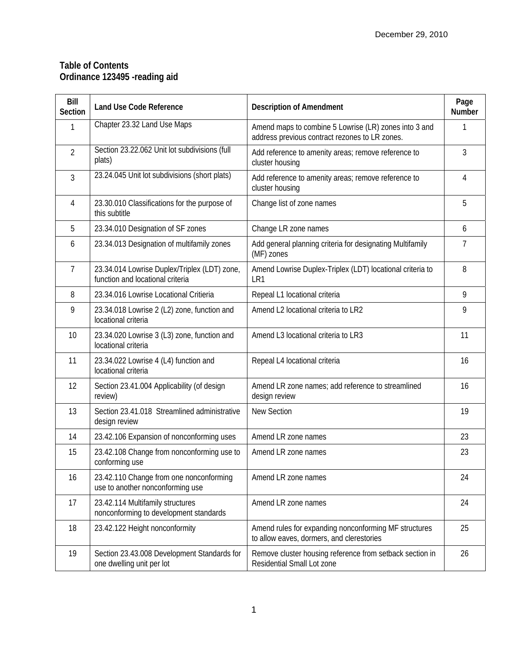## **Table of Contents Ordinance 123495 -reading aid**

| Bill<br><b>Section</b> | <b>Land Use Code Reference</b>                                                   | <b>Description of Amendment</b>                                                                         | Page<br><b>Number</b> |
|------------------------|----------------------------------------------------------------------------------|---------------------------------------------------------------------------------------------------------|-----------------------|
| 1                      | Chapter 23.32 Land Use Maps                                                      | Amend maps to combine 5 Lowrise (LR) zones into 3 and<br>address previous contract rezones to LR zones. | 1                     |
| $\overline{2}$         | Section 23.22.062 Unit lot subdivisions (full<br>plats)                          | Add reference to amenity areas; remove reference to<br>cluster housing                                  | 3                     |
| 3                      | 23.24.045 Unit lot subdivisions (short plats)                                    | Add reference to amenity areas; remove reference to<br>cluster housing                                  | 4                     |
| 4                      | 23.30.010 Classifications for the purpose of<br>this subtitle                    | Change list of zone names                                                                               | 5                     |
| 5                      | 23.34.010 Designation of SF zones                                                | Change LR zone names                                                                                    | 6                     |
| 6                      | 23.34.013 Designation of multifamily zones                                       | Add general planning criteria for designating Multifamily<br>(MF) zones                                 | 7                     |
| 7                      | 23.34.014 Lowrise Duplex/Triplex (LDT) zone,<br>function and locational criteria | Amend Lowrise Duplex-Triplex (LDT) locational criteria to<br>LR1                                        | 8                     |
| 8                      | 23.34.016 Lowrise Locational Critieria                                           | Repeal L1 locational criteria                                                                           | 9                     |
| 9                      | 23.34.018 Lowrise 2 (L2) zone, function and<br>locational criteria               | Amend L2 locational criteria to LR2                                                                     | 9                     |
| 10                     | 23.34.020 Lowrise 3 (L3) zone, function and<br>locational criteria               | Amend L3 locational criteria to LR3                                                                     | 11                    |
| 11                     | 23.34.022 Lowrise 4 (L4) function and<br>locational criteria                     | Repeal L4 locational criteria                                                                           | 16                    |
| 12                     | Section 23.41.004 Applicability (of design<br>review)                            | Amend LR zone names; add reference to streamlined<br>design review                                      | 16                    |
| 13                     | Section 23.41.018 Streamlined administrative<br>design review                    | <b>New Section</b>                                                                                      | 19                    |
| 14                     | 23.42.106 Expansion of nonconforming uses                                        | Amend LR zone names                                                                                     | 23                    |
| 15                     | 23.42.108 Change from nonconforming use to<br>conforming use                     | Amend LR zone names                                                                                     | 23                    |
| 16                     | 23.42.110 Change from one nonconforming<br>use to another nonconforming use      | Amend LR zone names                                                                                     | 24                    |
| 17                     | 23.42.114 Multifamily structures<br>nonconforming to development standards       | Amend LR zone names                                                                                     | 24                    |
| 18                     | 23.42.122 Height nonconformity                                                   | Amend rules for expanding nonconforming MF structures<br>to allow eaves, dormers, and clerestories      | 25                    |
| 19                     | Section 23.43.008 Development Standards for<br>one dwelling unit per lot         | Remove cluster housing reference from setback section in<br>Residential Small Lot zone                  | 26                    |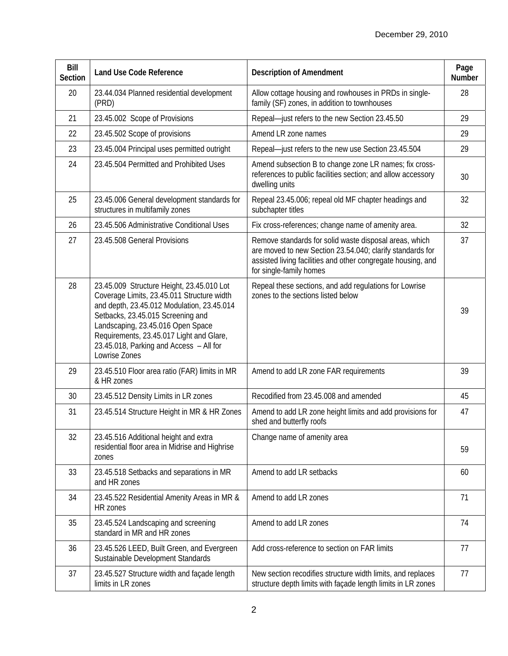| Bill<br><b>Section</b> | <b>Land Use Code Reference</b>                                                                                                                                                                                                                                                                                          | <b>Description of Amendment</b>                                                                                                                                                                                | Page<br>Number |
|------------------------|-------------------------------------------------------------------------------------------------------------------------------------------------------------------------------------------------------------------------------------------------------------------------------------------------------------------------|----------------------------------------------------------------------------------------------------------------------------------------------------------------------------------------------------------------|----------------|
| 20                     | 23.44.034 Planned residential development<br>(PRD)                                                                                                                                                                                                                                                                      | Allow cottage housing and rowhouses in PRDs in single-<br>family (SF) zones, in addition to townhouses                                                                                                         | 28             |
| 21                     | 23.45.002 Scope of Provisions                                                                                                                                                                                                                                                                                           | Repeal-just refers to the new Section 23.45.50                                                                                                                                                                 | 29             |
| 22                     | 23.45.502 Scope of provisions                                                                                                                                                                                                                                                                                           | Amend LR zone names                                                                                                                                                                                            | 29             |
| 23                     | 23.45.004 Principal uses permitted outright                                                                                                                                                                                                                                                                             | Repeal-just refers to the new use Section 23.45.504                                                                                                                                                            | 29             |
| 24                     | 23.45.504 Permitted and Prohibited Uses                                                                                                                                                                                                                                                                                 | Amend subsection B to change zone LR names; fix cross-<br>references to public facilities section; and allow accessory<br>dwelling units                                                                       | 30             |
| 25                     | 23.45.006 General development standards for<br>structures in multifamily zones                                                                                                                                                                                                                                          | Repeal 23.45.006; repeal old MF chapter headings and<br>subchapter titles                                                                                                                                      | 32             |
| 26                     | 23.45.506 Administrative Conditional Uses                                                                                                                                                                                                                                                                               | Fix cross-references; change name of amenity area.                                                                                                                                                             | 32             |
| 27                     | 23.45.508 General Provisions                                                                                                                                                                                                                                                                                            | Remove standards for solid waste disposal areas, which<br>are moved to new Section 23.54.040; clarify standards for<br>assisted living facilities and other congregate housing, and<br>for single-family homes | 37             |
| 28                     | 23.45.009 Structure Height, 23.45.010 Lot<br>Coverage Limits, 23.45.011 Structure width<br>and depth, 23.45.012 Modulation, 23.45.014<br>Setbacks, 23.45.015 Screening and<br>Landscaping, 23.45.016 Open Space<br>Requirements, 23.45.017 Light and Glare,<br>23.45.018, Parking and Access - All for<br>Lowrise Zones | Repeal these sections, and add regulations for Lowrise<br>zones to the sections listed below                                                                                                                   | 39             |
| 29                     | 23.45.510 Floor area ratio (FAR) limits in MR<br>& HR zones                                                                                                                                                                                                                                                             | Amend to add LR zone FAR requirements                                                                                                                                                                          | 39             |
| 30                     | 23.45.512 Density Limits in LR zones                                                                                                                                                                                                                                                                                    | Recodified from 23.45.008 and amended                                                                                                                                                                          | 45             |
| 31                     | 23.45.514 Structure Height in MR & HR Zones                                                                                                                                                                                                                                                                             | Amend to add LR zone height limits and add provisions for<br>shed and butterfly roofs                                                                                                                          | 47             |
| 32                     | 23.45.516 Additional height and extra<br>residential floor area in Midrise and Highrise<br>zones                                                                                                                                                                                                                        | Change name of amenity area                                                                                                                                                                                    | 59             |
| 33                     | 23.45.518 Setbacks and separations in MR<br>and HR zones                                                                                                                                                                                                                                                                | Amend to add LR setbacks                                                                                                                                                                                       | 60             |
| 34                     | 23.45.522 Residential Amenity Areas in MR &<br>HR zones                                                                                                                                                                                                                                                                 | Amend to add LR zones                                                                                                                                                                                          | 71             |
| 35                     | 23.45.524 Landscaping and screening<br>standard in MR and HR zones                                                                                                                                                                                                                                                      | Amend to add LR zones                                                                                                                                                                                          | 74             |
| 36                     | 23.45.526 LEED, Built Green, and Evergreen<br>Sustainable Development Standards                                                                                                                                                                                                                                         | Add cross-reference to section on FAR limits                                                                                                                                                                   | 77             |
| 37                     | 23.45.527 Structure width and façade length<br>limits in LR zones                                                                                                                                                                                                                                                       | New section recodifies structure width limits, and replaces<br>structure depth limits with façade length limits in LR zones                                                                                    | 77             |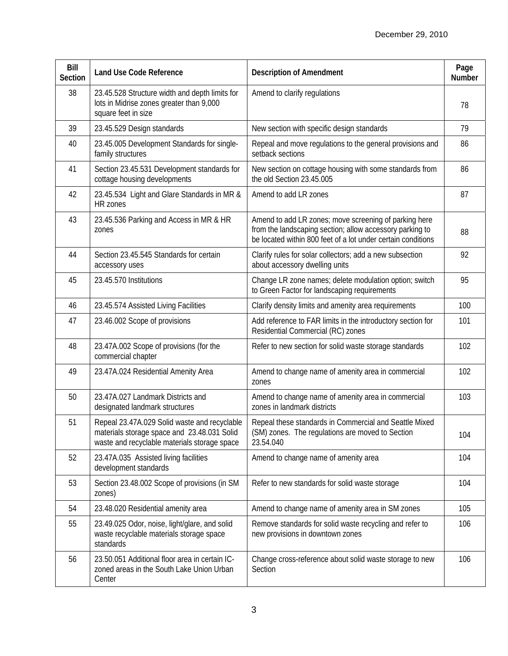| Bill<br><b>Section</b> | <b>Land Use Code Reference</b>                                                                                                              | <b>Description of Amendment</b>                                                                                                                                                   | Page<br>Number |
|------------------------|---------------------------------------------------------------------------------------------------------------------------------------------|-----------------------------------------------------------------------------------------------------------------------------------------------------------------------------------|----------------|
| 38                     | 23.45.528 Structure width and depth limits for<br>lots in Midrise zones greater than 9,000<br>square feet in size                           | Amend to clarify regulations                                                                                                                                                      | 78             |
| 39                     | 23.45.529 Design standards                                                                                                                  | New section with specific design standards                                                                                                                                        | 79             |
| 40                     | 23.45.005 Development Standards for single-<br>family structures                                                                            | Repeal and move regulations to the general provisions and<br>setback sections                                                                                                     | 86             |
| 41                     | Section 23.45.531 Development standards for<br>cottage housing developments                                                                 | New section on cottage housing with some standards from<br>the old Section 23.45.005                                                                                              | 86             |
| 42                     | 23.45.534 Light and Glare Standards in MR &<br>HR zones                                                                                     | Amend to add LR zones                                                                                                                                                             | 87             |
| 43                     | 23.45.536 Parking and Access in MR & HR<br>zones                                                                                            | Amend to add LR zones; move screening of parking here<br>from the landscaping section; allow accessory parking to<br>be located within 800 feet of a lot under certain conditions | 88             |
| 44                     | Section 23.45.545 Standards for certain<br>accessory uses                                                                                   | Clarify rules for solar collectors; add a new subsection<br>about accessory dwelling units                                                                                        | 92             |
| 45                     | 23.45.570 Institutions                                                                                                                      | Change LR zone names; delete modulation option; switch<br>to Green Factor for landscaping requirements                                                                            | 95             |
| 46                     | 23.45.574 Assisted Living Facilities                                                                                                        | Clarify density limits and amenity area requirements                                                                                                                              | 100            |
| 47                     | 23.46.002 Scope of provisions                                                                                                               | Add reference to FAR limits in the introductory section for<br>Residential Commercial (RC) zones                                                                                  | 101            |
| 48                     | 23.47A.002 Scope of provisions (for the<br>commercial chapter                                                                               | Refer to new section for solid waste storage standards                                                                                                                            | 102            |
| 49                     | 23.47A.024 Residential Amenity Area                                                                                                         | Amend to change name of amenity area in commercial<br>zones                                                                                                                       | 102            |
| 50                     | 23.47A.027 Landmark Districts and<br>designated landmark structures                                                                         | Amend to change name of amenity area in commercial<br>zones in landmark districts                                                                                                 | 103            |
| 51                     | Repeal 23.47A.029 Solid waste and recyclable<br>materials storage space and 23.48.031 Solid<br>waste and recyclable materials storage space | Repeal these standards in Commercial and Seattle Mixed<br>(SM) zones. The regulations are moved to Section<br>23.54.040                                                           | 104            |
| 52                     | 23.47A.035 Assisted living facilities<br>development standards                                                                              | Amend to change name of amenity area                                                                                                                                              | 104            |
| 53                     | Section 23.48.002 Scope of provisions (in SM<br>zones)                                                                                      | Refer to new standards for solid waste storage                                                                                                                                    | 104            |
| 54                     | 23.48.020 Residential amenity area                                                                                                          | Amend to change name of amenity area in SM zones                                                                                                                                  | 105            |
| 55                     | 23.49.025 Odor, noise, light/glare, and solid<br>waste recyclable materials storage space<br>standards                                      | Remove standards for solid waste recycling and refer to<br>new provisions in downtown zones                                                                                       | 106            |
| 56                     | 23.50.051 Additional floor area in certain IC-<br>zoned areas in the South Lake Union Urban<br>Center                                       | Change cross-reference about solid waste storage to new<br>Section                                                                                                                | 106            |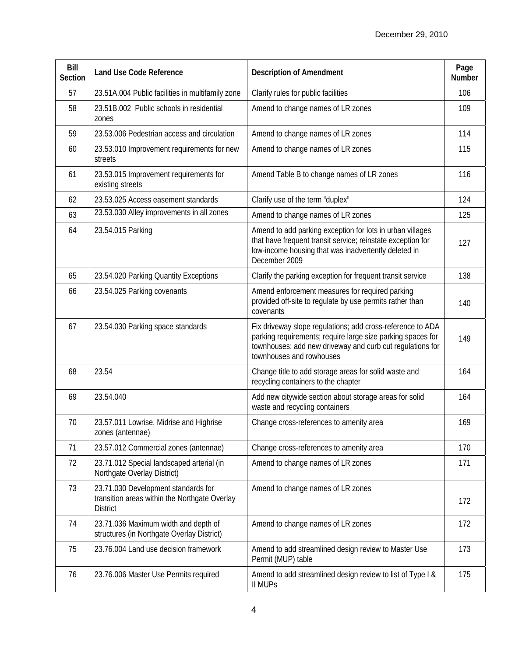| Bill<br>Section | <b>Land Use Code Reference</b>                                                                          | <b>Description of Amendment</b>                                                                                                                                                                                    | Page<br>Number |
|-----------------|---------------------------------------------------------------------------------------------------------|--------------------------------------------------------------------------------------------------------------------------------------------------------------------------------------------------------------------|----------------|
| 57              | 23.51A.004 Public facilities in multifamily zone                                                        | Clarify rules for public facilities                                                                                                                                                                                | 106            |
| 58              | 23.51B.002 Public schools in residential<br>zones                                                       | Amend to change names of LR zones                                                                                                                                                                                  | 109            |
| 59              | 23.53.006 Pedestrian access and circulation                                                             | Amend to change names of LR zones                                                                                                                                                                                  | 114            |
| 60              | 23.53.010 Improvement requirements for new<br>streets                                                   | Amend to change names of LR zones                                                                                                                                                                                  | 115            |
| 61              | 23.53.015 Improvement requirements for<br>existing streets                                              | Amend Table B to change names of LR zones                                                                                                                                                                          | 116            |
| 62              | 23.53.025 Access easement standards                                                                     | Clarify use of the term "duplex"                                                                                                                                                                                   | 124            |
| 63              | 23.53.030 Alley improvements in all zones                                                               | Amend to change names of LR zones                                                                                                                                                                                  | 125            |
| 64              | 23.54.015 Parking                                                                                       | Amend to add parking exception for lots in urban villages<br>that have frequent transit service; reinstate exception for<br>low-income housing that was inadvertently deleted in<br>December 2009                  | 127            |
| 65              | 23.54.020 Parking Quantity Exceptions                                                                   | Clarify the parking exception for frequent transit service                                                                                                                                                         | 138            |
| 66              | 23.54.025 Parking covenants                                                                             | Amend enforcement measures for required parking<br>provided off-site to regulate by use permits rather than<br>covenants                                                                                           | 140            |
| 67              | 23.54.030 Parking space standards                                                                       | Fix driveway slope regulations; add cross-reference to ADA<br>parking requirements; require large size parking spaces for<br>townhouses; add new driveway and curb cut regulations for<br>townhouses and rowhouses | 149            |
| 68              | 23.54                                                                                                   | Change title to add storage areas for solid waste and<br>recycling containers to the chapter                                                                                                                       | 164            |
| 69              | 23.54.040                                                                                               | Add new citywide section about storage areas for solid<br>waste and recycling containers                                                                                                                           | 164            |
| 70              | 23.57.011 Lowrise, Midrise and Highrise<br>zones (antennae)                                             | Change cross-references to amenity area                                                                                                                                                                            | 169            |
| 71              | 23.57.012 Commercial zones (antennae)                                                                   | Change cross-references to amenity area                                                                                                                                                                            | 170            |
| 72              | 23.71.012 Special landscaped arterial (in<br>Northgate Overlay District)                                | Amend to change names of LR zones                                                                                                                                                                                  | 171            |
| 73              | 23.71.030 Development standards for<br>transition areas within the Northgate Overlay<br><b>District</b> | Amend to change names of LR zones                                                                                                                                                                                  | 172            |
| 74              | 23.71.036 Maximum width and depth of<br>structures (in Northgate Overlay District)                      | Amend to change names of LR zones                                                                                                                                                                                  | 172            |
| 75              | 23.76.004 Land use decision framework                                                                   | Amend to add streamlined design review to Master Use<br>Permit (MUP) table                                                                                                                                         | 173            |
| 76              | 23.76.006 Master Use Permits required                                                                   | Amend to add streamlined design review to list of Type I &<br><b>II MUPs</b>                                                                                                                                       | 175            |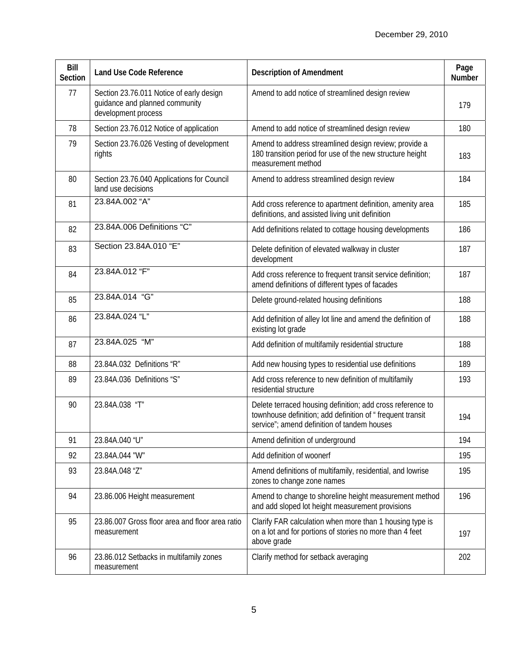| Bill<br><b>Section</b> | <b>Land Use Code Reference</b>                                                                    | <b>Description of Amendment</b>                                                                                                                                         | Page<br><b>Number</b> |
|------------------------|---------------------------------------------------------------------------------------------------|-------------------------------------------------------------------------------------------------------------------------------------------------------------------------|-----------------------|
| 77                     | Section 23.76.011 Notice of early design<br>guidance and planned community<br>development process | Amend to add notice of streamlined design review                                                                                                                        | 179                   |
| 78                     | Section 23.76.012 Notice of application                                                           | Amend to add notice of streamlined design review                                                                                                                        | 180                   |
| 79                     | Section 23.76.026 Vesting of development<br>rights                                                | Amend to address streamlined design review; provide a<br>180 transition period for use of the new structure height<br>measurement method                                | 183                   |
| 80                     | Section 23.76.040 Applications for Council<br>land use decisions                                  | Amend to address streamlined design review                                                                                                                              | 184                   |
| 81                     | 23.84A.002 "A"                                                                                    | Add cross reference to apartment definition, amenity area<br>definitions, and assisted living unit definition                                                           | 185                   |
| 82                     | 23.84A.006 Definitions "C"                                                                        | Add definitions related to cottage housing developments                                                                                                                 | 186                   |
| 83                     | Section 23.84A.010 "E"                                                                            | Delete definition of elevated walkway in cluster<br>development                                                                                                         | 187                   |
| 84                     | 23.84A.012 "F"                                                                                    | Add cross reference to frequent transit service definition;<br>amend definitions of different types of facades                                                          | 187                   |
| 85                     | 23.84A.014 "G"                                                                                    | Delete ground-related housing definitions                                                                                                                               | 188                   |
| 86                     | 23.84A.024 "L"                                                                                    | Add definition of alley lot line and amend the definition of<br>existing lot grade                                                                                      | 188                   |
| 87                     | 23.84A.025 "M"                                                                                    | Add definition of multifamily residential structure                                                                                                                     | 188                   |
| 88                     | 23.84A.032 Definitions "R"                                                                        | Add new housing types to residential use definitions                                                                                                                    | 189                   |
| 89                     | 23.84A.036 Definitions "S"                                                                        | Add cross reference to new definition of multifamily<br>residential structure                                                                                           | 193                   |
| 90                     | 23.84A.038 "T"                                                                                    | Delete terraced housing definition; add cross reference to<br>townhouse definition; add definition of " frequent transit<br>service"; amend definition of tandem houses | 194                   |
| 91                     | 23.84A.040 "U"                                                                                    | Amend definition of underground                                                                                                                                         | 194                   |
| 92                     | 23.84A.044 "W"                                                                                    | Add definition of woonerf                                                                                                                                               | 195                   |
| 93                     | 23.84A.048 "Z"                                                                                    | Amend definitions of multifamily, residential, and lowrise<br>zones to change zone names                                                                                | 195                   |
| 94                     | 23.86.006 Height measurement                                                                      | Amend to change to shoreline height measurement method<br>and add sloped lot height measurement provisions                                                              | 196                   |
| 95                     | 23.86.007 Gross floor area and floor area ratio<br>measurement                                    | Clarify FAR calculation when more than 1 housing type is<br>on a lot and for portions of stories no more than 4 feet<br>above grade                                     | 197                   |
| 96                     | 23.86.012 Setbacks in multifamily zones<br>measurement                                            | Clarify method for setback averaging                                                                                                                                    | 202                   |